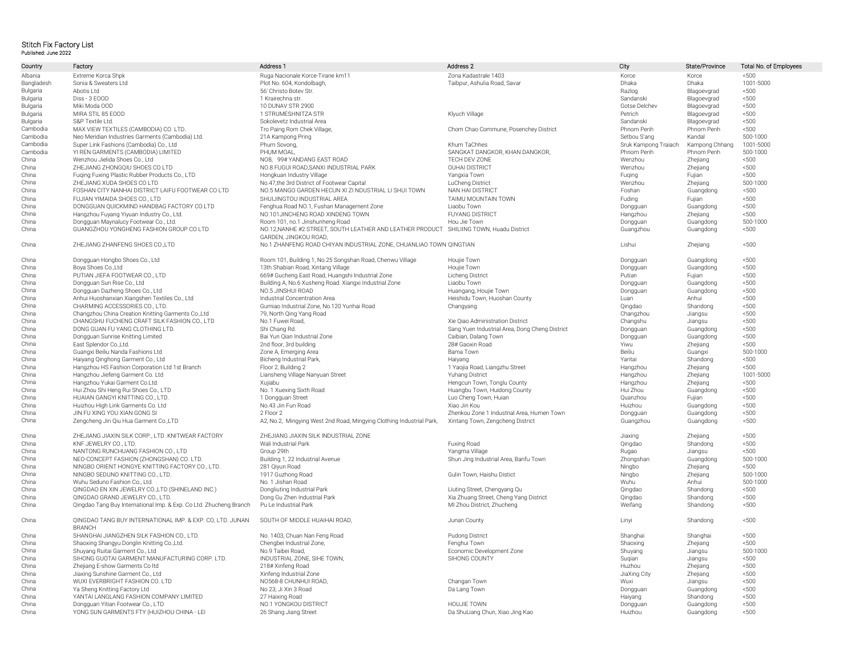## Stitch Fix Factory List Published: June 2022

| Country    | Factory                                                            | Address 1                                                            | Address 2                                      | City                 | State/Province | Total No. of Employees |
|------------|--------------------------------------------------------------------|----------------------------------------------------------------------|------------------------------------------------|----------------------|----------------|------------------------|
| Albania    | Extreme Korca Shpk                                                 | Ruga Nacionale Korce-Tirane km11                                     | Zona Kadastrale 1403                           | Korce                | Korce          | < 500                  |
| Bangladesh | Sonia & Sweaters Ltd                                               | Plot No. 604, Kondolbagh,                                            | Taibpur, Ashulia Road, Savar                   | Dhaka                | Dhaka          | 1001-5000              |
| Bulgaria   | Abotis Ltd                                                         | 56' Christo Botev Str.                                               |                                                | Razlog               | Blagoevgrad    | < 500                  |
| Bulgaria   | Diss - 3 EOOD                                                      | 1 Krairechna str.                                                    |                                                | Sandanski            | Blagoevgrad    | < 500                  |
| Bulgaria   | Miki Moda OOD                                                      | 10 DUNAV STR 2900                                                    |                                                | Gotse Delchev        | Blagoevgrad    | < 500                  |
| Bulgaria   | MIRA STIL 85 EOOD                                                  | 1 STRUMESHNITZA STR                                                  | Klyuch Village                                 | Petrich              | Blagoevgrad    | < 500                  |
| Bulgaria   | S&P Textile Ltd.                                                   | Sokolevetz Industrial Area                                           |                                                | Sandanski            | Blagoevgrad    | < 500                  |
| Cambodia   | MAX VIEW TEXTILES (CAMBODIA) CO. LTD.                              | Tro Paing Rom Chek Village,                                          | Chom Chao Commune, Posenchey District          | Phnom Penh           | Phnom Penh     | ~1500                  |
| Cambodia   | Neo Meridian Industries Garments (Cambodia) Ltd.                   | 21A Kampong Pring                                                    |                                                | Setbou S'ang         | Kandal         | 500-1000               |
| Cambodia   | Super Link Fashions (Cambodia) Co., Ltd                            | Phum Sovong,                                                         | Khum TaChhes                                   | Sruk Kampong Traiach | Kampong Chhang | 1001-5000              |
| Cambodia   | YI REN GARMENTS (CAMBODIA) LIMITED                                 | PHUM MOAL.                                                           | SANGKAT DANGKOR, KHAN DANGKOR,                 | Phnom Penh           | Phnom Penh     | 500-1000               |
| China      | Wenzhou Jielida Shoes Co., Ltd                                     | NO8, 99# YANDANG EAST ROAD                                           | TECH DEV ZONE                                  | Wenzhou              | Zhejiang       | < 500                  |
| China      | ZHEJIANG ZHONGQIU SHOES CO LTD                                     | NO.8 FUGUI ROAD, SANXI INDUSTRIAL PARK                               | <b>OUHAI DISTRICT</b>                          | Wenzhou              | Zhejiang       | < 500                  |
| China      | Fuging Fuxing Plastic Rubber Products Co., LTD                     | Hongkuan Industry Village                                            | Yangxia Town                                   | Fuging               | Fuijan         | < 500                  |
| China      | ZHEJIANG XUDA SHOES CO LTD                                         | No.47, the 3rd District of Footwear Capital                          | LuCheng District                               | Wenzhou              | Zhejiang       | 500-1000               |
| China      | FOSHAN CITY NANHAI DISTRICT LAIFU FOOTWEAR CO LTD                  | NO.5 MANGO GARDEN HECUN XI ZI NDUSTRIAL LI SHUI TOWN                 | NAN HAI DISTRICT                               | Foshan               | Guangdong      | < 500                  |
| China      | FUJIAN YIMAIDA SHOES CO., LTD                                      | SHUIJINGTOU INDUSTRIAL AREA                                          | TAIMU MOUNTAIN TOWN                            | Fuding               | Fujian         | < 500                  |
| China      | DONGGUAN OUICKMIND HANDBAG FACTORY CO.LTD                          | Fenghua Road NO.1, Fushan Management Zone                            | Liaobu Town                                    | Dongguan             | Guangdong      | < 500                  |
| China      | Hangzhou Fuyang Yiyuan Industry Co., Ltd                           | NO.101JINCHENG ROAD XINDENG TOWN                                     | <b>FUYANG DISTRICT</b>                         | Hangzhou             | Zhejiang       | < 500                  |
| China      | Dongguan Maynalucy Footwear Co., Ltd.                              | Room 101, no.1 Jinshunheng Road                                      | Hou Jie Town                                   | Dongguan             | Guangdong      | 500-1000               |
| China      | GUANGZHOU YONGHENG FASHION GROUP CO LTD                            | NO.12, NANHE #2 STREET, SOUTH LEATHER AND LEATHER PRODUCT            | SHILIING TOWN, Huadu District                  | Guangzhou            | Guangdong      | ~500                   |
|            |                                                                    | GARDEN, JINGKOU ROAD                                                 |                                                |                      |                |                        |
| China      | ZHEJIANG ZHANFENG SHOES CO.,LTD                                    | No.1 ZHANFENG ROAD CHIYAN INDUSTRIAL ZONE, CHUANLIAO TOWN QINGTIAN   |                                                | Lishui               | Zhejiang       | < 500                  |
| China      | Dongquan Hongbo Shoes Co., Ltd                                     | Room 101, Building 1, No.25 Songshan Road, Chenwu Village            | Houjie Town                                    | Dongguan             | Guangdong      | < 500                  |
| China      | Boya Shoes Co., Ltd                                                | 13th Shabian Road, Xintang Village                                   | Houjie Town                                    | Dongguan             | Guangdong      | < 500                  |
| China      | PUTIAN JIEFA FOOTWEAR CO., LTD                                     | 669# Gucheng East Road, Huangshi Industrial Zone                     | Licheng District                               | Putian               | Fujian         | < 500                  |
| China      | Dongquan Sun Rise Co., Ltd                                         | Building A, No.6 Xusheng Road. Xiangxi Industrial Zone               | Liaobu Town                                    | Dongguan             | Guangdong      | ~500                   |
| China      | Dongguan Dazheng Shoes Co., Ltd                                    | NO.5 JINSHUI ROAD                                                    | Huangang, Houjie Town                          | Dongguan             | Guangdong      | < 500                  |
| China      | Anhui Huoshanxian Xiangshen Textiles Co., Ltd                      | Industrial Concentration Area                                        | Heishidu Town, Huoshan County                  | Luan                 | Anhui          | < 500                  |
| China      | CHARMING ACCESSORIES CO., LTD.                                     | Gumiao Industrial Zone, No.120 Yunhai Road                           | Changyang                                      | Qingdao              | Shandong       | ~1500                  |
| China      | Changzhou China Creation Knitting Garments Co., Ltd                | 79, North Qing Yang Road                                             |                                                | Changzhou            | Jiangsu        | < 500                  |
| China      | CHANGSHU FUCHENG CRAFT SILK FASHION CO., LTD                       | No.1 Fuwei Road,                                                     | Xie Qiao Administration District               | Changshu             | Jiangsu        | < 500                  |
| China      | DONG GUAN FU YANG CLOTHING LTD.                                    | Shi Chang Rd.                                                        | Sang Yuen Industrial Area, Dong Cheng District | Dongguan             | Guangdong      | < 500                  |
| China      | Dongguan Sunrise Knitting Limited                                  | Bai Yun Qian Industrial Zone                                         | Caibian, Dalang Town                           | Dongguan             | Guangdong      | < 500                  |
| China      | East Splendor Co., Ltd.                                            | 2nd floor, 3rd building                                              | 28# Gaoxin Road                                | Yiwu                 | Zhejiang       | < 500                  |
| China      | Guangxi Beiliu Nanda Fashions Ltd                                  | Zone A, Emerging Area                                                | Bama Town                                      | Beiliu               | Guangxi        | 500-1000               |
| China      | Haiyang Qinghong Garment Co., Ltd                                  | Bicheng Industrial Park,                                             | Haiyang                                        | Yantai               | Shandong       | < 500                  |
| China      | Hangzhou HS Fashion Corporation Ltd 1st Branch                     | Floor 2, Building 2                                                  | 1 Yaojia Road, Liangzhu Street                 | Hangzhou             | Zhejiang       | ~500                   |
| China      | Hangzhou Jiefeng Garment Co. Ltd                                   | Liansheng Village Nanyuan Street                                     | Yuhang District                                | Hangzhou             | Zhejiang       | 1001-5000              |
| China      | Hangzhou Yukai Garment Co.Ltd.                                     | Xujiabu                                                              | Hengcun Town, Tonglu County                    | Hangzhou             | Zhejiang       | < 500                  |
| China      | Hui Zhou Shi Heng Rui Shoes Co., LTD                               | No. 1 Xuexing Sixth Road                                             | Huangbu Town, Huidong County                   | Hui Zhou             | Guangdong      | < 500                  |
| China      | HUAIAN GANGYI KNITTING CO., LTD.                                   | 1 Dongguan Street                                                    | Luo Cheng Town, Huian                          | Ouanzhou             | Fuiian         | < 500                  |
| China      | Huizhou High Link Garments Co. Ltd                                 | No.43 Jin Fun Road                                                   | Xiao Jin Kou                                   | Huizhou              | Guangdong      | < 500                  |
| China      | JIN FU XING YOU XIAN GONG SI                                       | 2 Floor 2                                                            | Zhenkou Zone 1 Industrial Area, Humen Town     | Dongguan             | Guangdong      | ~1500                  |
| China      | Zengcheng Jin Qiu Hua Garment Co.,LTD                              | A2, No.2, Mingying West 2nd Road, Mingying Clothing Industrial Park, | Xintang Town, Zengcheng District               | Guangzhou            | Guangdong      | ~1500                  |
| China      | ZHEJIANG JIAXIN SILK CORP., LTD. KNITWEAR FACTORY                  | ZHEJIANG JIAXIN SILK INDUSTRIAL ZONE                                 |                                                | Jiaxing              | Zhejiang       | < 500                  |
| China      | KNF JEWELRY CO., LTD.                                              | Wali Industrial Park                                                 | Fuxing Road                                    | Qingdao              | Shandong       | < 500                  |
| China      | NANTONG RUNCHUANG FASHION CO., LTD                                 | Group 29th                                                           | Yangma Village                                 | Rugao                | Jiangsu        | < 500                  |
| China      | NEO-CONCEPT FASHION (ZHONGSHAN) CO. LTD.                           | Building 1, 22 Industrial Avenue                                     | Shun Jing Industrial Area, Banfu Town          | Zhongshan            | Guangdong      | 500-1000               |
| China      | NINGBO ORIENT HONGYE KNITTING FACTORY CO., LTD.                    | 281 Qiyun Road                                                       |                                                | Ningbo               | Zhejiang       | < 500                  |
| China      | NINGBO SEDUNO KNITTING CO., LTD.                                   | 1917 Guzhong Road                                                    | Gulin Town, Haishu Distict                     | Ningbo               | Zhejiang       | 500-1000               |
| China      | Wuhu Seduno Fashion Co., Ltd                                       | No. 1 Jishan Road                                                    |                                                | Wuhu                 | Anhui          | 500-1000               |
| China      | QINGDAO EN XIN JEWELRY CO.,LTD (SHINELAND INC.)                    | Dongliuting Industrial Park                                          | Liuting Street, Chengyang Qu                   | Qingdao              | Shandong       | ~500                   |
| China      | QINGDAO GRAND JEWELRY CO., LTD.                                    | Dong Gu Zhen Industrial Park                                         | Xia Zhuang Street, Cheng Yang District         | Qingdao              | Shandong       | < 500                  |
| China      | Qingdao Tang Buy International Imp. & Exp. Co Ltd. Zhucheng Branch | Pu Le Industrial Park                                                | MI Zhou District, Zhucheng                     | Weifang              | Shandong       | < 500                  |
| China      | OINGDAO TANG BUY INTERNATIONAL IMP. & EXP. CO. LTD. JUNAN          | SOUTH OF MIDDLE HUAIHAI ROAD.                                        | Junan County                                   | Linyi                | Shandong       | < 500                  |
|            | <b>BRANCH</b>                                                      |                                                                      |                                                |                      |                |                        |
| China      | SHANGHAI JIANGZHEN SILK FASHION CO., LTD.                          | No. 1403, Chuan Nan Feng Road                                        | Pudong District                                | Shanghai             | Shanghai       | ~1500                  |
| China      | Shaoxing Shangyu Donglin Knitting Co., Ltd.                        | Chengbei Industrial Zone,                                            | Fenghui Town                                   | Shaoxing             | Zhejiang       | < 500                  |
| China      | Shuyang Ruitai Garment Co., Ltd                                    | No.9 Taibei Road,                                                    | Economic Development Zone                      | Shuyang              | Jiangsu        | 500-1000               |
| China      | SIHONG GUOTAI GARMENT MANUFACTURING CORP. LTD.                     | INDUSTRIAL ZONE, SIHE TOWN,                                          | SIHONG COUNTY                                  | Sugian               | Jiangsu        | < 500                  |
| China      | Zhejiang E-show Garments Co Itd                                    | 218# Xinfeng Road                                                    |                                                | Huzhou               | Zhejiang       | < 500                  |
| China      | Jiaxing Sunshine Garment Co., Ltd                                  | Xinfeng Industrial Zone                                              |                                                | JiaXing City         | Zhejiang       | < 500                  |
| China      | WUXI EVERBRIGHT FASHION CO. LTD                                    | NO568-8 CHUNHUI ROAD.                                                | Changan Town                                   | Wuxi                 | Jiangsu        | < 500                  |
| China      | Ya Sheng Knitting Factory Ltd                                      | No 23. Ji Xin 3 Road                                                 | Da Lang Town                                   | Dongguan             | Guangdong      | < 500                  |
| China      | YANTAI LANGLANG FASHION COMPANY LIMITED                            | 27 Haixing Road                                                      |                                                | Haiyang              | Shandong       | < 500                  |
| China      | Dongguan Yitian Footwear Co., LTD                                  | NO.1 YONGKOU DISTRICT                                                | <b>HOUJIE TOWN</b>                             | Dongguan             | Guangdong      | < 500                  |
| China      | YONG SUN GARMENTS FTY (HUIZHOU CHINA - LEI                         | 26 Shang Jiang Street                                                | Da ShuLiang Chun, Xiao Jing Kao                | Huizhou              | Guangdong      | < 500                  |